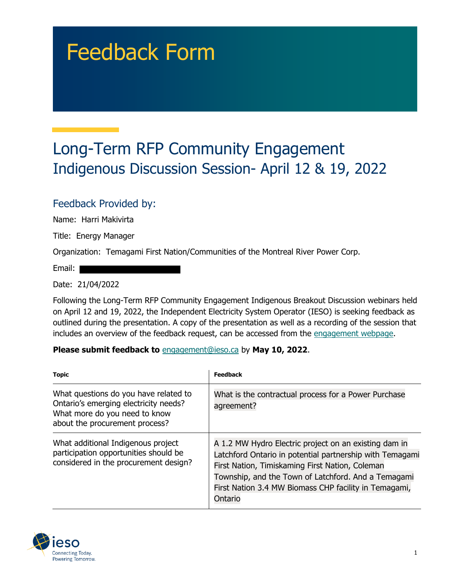# Feedback Form

## Long-Term RFP Community Engagement Indigenous Discussion Session- April 12 & 19, 2022

#### Feedback Provided by:

Name: Harri Makivirta

Title: Energy Manager

Organization: Temagami First Nation/Communities of the Montreal River Power Corp.

Email: |

Date: 21/04/2022

Following the Long-Term RFP Community Engagement Indigenous Breakout Discussion webinars held on April 12 and 19, 2022, the Independent Electricity System Operator (IESO) is seeking feedback as outlined during the presentation. A copy of the presentation as well as a recording of the session that includes an overview of the feedback request, can be accessed from the [engagement webpage.](https://www.ieso.ca/en/Sector-Participants/Engagement-Initiatives/Engagements/Long-Term-RFP-Community-Engagement)

#### **Please submit feedback to** engagement@ieso.ca by **May 10, 2022**.

| <b>Topic</b>                                                                                                                                      | <b>Feedback</b>                                                                                                                                                                                                                                                                                 |
|---------------------------------------------------------------------------------------------------------------------------------------------------|-------------------------------------------------------------------------------------------------------------------------------------------------------------------------------------------------------------------------------------------------------------------------------------------------|
| What questions do you have related to<br>Ontario's emerging electricity needs?<br>What more do you need to know<br>about the procurement process? | What is the contractual process for a Power Purchase<br>agreement?                                                                                                                                                                                                                              |
| What additional Indigenous project<br>participation opportunities should be<br>considered in the procurement design?                              | A 1.2 MW Hydro Electric project on an existing dam in<br>Latchford Ontario in potential partnership with Temagami<br>First Nation, Timiskaming First Nation, Coleman<br>Township, and the Town of Latchford. And a Temagami<br>First Nation 3.4 MW Biomass CHP facility in Temagami,<br>Ontario |